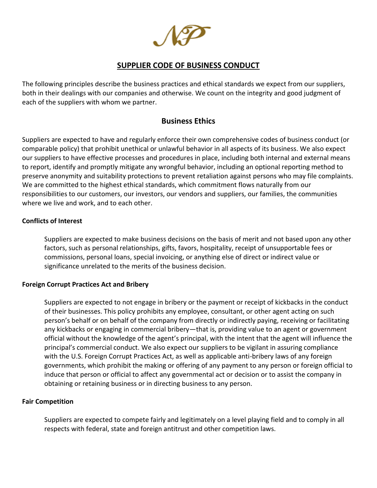# **SUPPLIER CODE OF BUSINESS CONDUCT**

The following principles describe the business practices and ethical standards we expect from our suppliers, both in their dealings with our companies and otherwise. We count on the integrity and good judgment of each of the suppliers with whom we partner.

# **Business Ethics**

Suppliers are expected to have and regularly enforce their own comprehensive codes of business conduct (or comparable policy) that prohibit unethical or unlawful behavior in all aspects of its business. We also expect our suppliers to have effective processes and procedures in place, including both internal and external means to report, identify and promptly mitigate any wrongful behavior, including an optional reporting method to preserve anonymity and suitability protections to prevent retaliation against persons who may file complaints. We are committed to the highest ethical standards, which commitment flows naturally from our responsibilities to our customers, our investors, our vendors and suppliers, our families, the communities where we live and work, and to each other.

#### **Conflicts of Interest**

Suppliers are expected to make business decisions on the basis of merit and not based upon any other factors, such as personal relationships, gifts, favors, hospitality, receipt of unsupportable fees or commissions, personal loans, special invoicing, or anything else of direct or indirect value or significance unrelated to the merits of the business decision.

#### **Foreign Corrupt Practices Act and Bribery**

Suppliers are expected to not engage in bribery or the payment or receipt of kickbacks in the conduct of their businesses. This policy prohibits any employee, consultant, or other agent acting on such person's behalf or on behalf of the company from directly or indirectly paying, receiving or facilitating any kickbacks or engaging in commercial bribery—that is, providing value to an agent or government official without the knowledge of the agent's principal, with the intent that the agent will influence the principal's commercial conduct. We also expect our suppliers to be vigilant in assuring compliance with the U.S. Foreign Corrupt Practices Act, as well as applicable anti-bribery laws of any foreign governments, which prohibit the making or offering of any payment to any person or foreign official to induce that person or official to affect any governmental act or decision or to assist the company in obtaining or retaining business or in directing business to any person.

#### **Fair Competition**

Suppliers are expected to compete fairly and legitimately on a level playing field and to comply in all respects with federal, state and foreign antitrust and other competition laws.